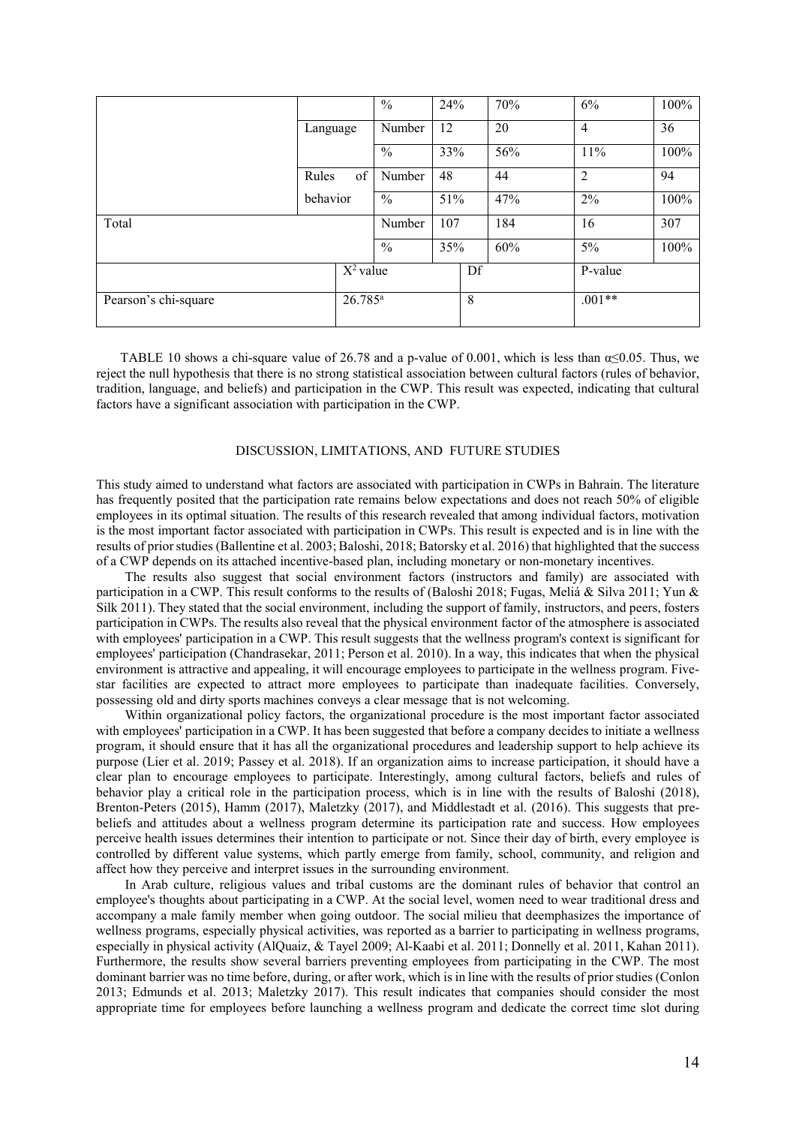|                                    |             | $\frac{0}{0}$ | 24% |    | 70% | 6%             | 100% |  |
|------------------------------------|-------------|---------------|-----|----|-----|----------------|------|--|
|                                    | Language    | Number        | 12  |    | 20  | $\overline{4}$ | 36   |  |
|                                    |             | $\frac{0}{0}$ | 33% |    | 56% | 11%            | 100% |  |
|                                    | of<br>Rules | Number        | 48  |    | 44  | $\overline{2}$ | 94   |  |
|                                    | behavior    | $\frac{0}{0}$ | 51% |    | 47% | 2%             | 100% |  |
| Total                              |             | Number        | 107 |    | 184 | 16             | 307  |  |
|                                    |             | $\frac{0}{0}$ | 35% |    | 60% | 5%             | 100% |  |
|                                    | $X^2$ value |               |     | Df |     | P-value        |      |  |
| $26.785^a$<br>Pearson's chi-square |             |               | 8   |    |     | $.001**$       |      |  |
|                                    |             |               |     |    |     |                |      |  |

TABLE 10 shows a chi-square value of 26.78 and a p-value of 0.001, which is less than  $\alpha \le 0.05$ . Thus, we reject the null hypothesis that there is no strong statistical association between cultural factors (rules of behavior, tradition, language, and beliefs) and participation in the CWP. This result was expected, indicating that cultural factors have a significant association with participation in the CWP.

## DISCUSSION, LIMITATIONS, AND FUTURE STUDIES

This study aimed to understand what factors are associated with participation in CWPs in Bahrain. The literature has frequently posited that the participation rate remains below expectations and does not reach 50% of eligible employees in its optimal situation. The results of this research revealed that among individual factors, motivation is the most important factor associated with participation in CWPs. This result is expected and is in line with the results of prior studies (Ballentine et al. 2003; Baloshi, 2018; Batorsky et al. 2016) that highlighted that the success of a CWP depends on its attached incentive-based plan, including monetary or non-monetary incentives.

E 10 shows a chi-square value of 26.78 and a p-value of 0.001, which is less than ce0.05. all hypothesis that there is no strong statistical association brower cultural algotos chull hypothesis that there is no strong stat The results also suggest that social environment factors (instructors and family) are associated with participation in a CWP. This result conforms to the results of (Baloshi 2018; Fugas, Meliá & Silva 2011; Yun & Silk 2011). They stated that the social environment, including the support of family, instructors, and peers, fosters participation in CWPs. The results also reveal that the physical environment factor of the atmosphere is associated with employees' participation in a CWP. This result suggests that the wellness program's context is significant for employees' participation (Chandrasekar, 2011; Person et al. 2010). In a way, this indicates that when the physical environment is attractive and appealing, it will encourage employees to participate in the wellness program. Fivestar facilities are expected to attract more employees to participate than inadequate facilities. Conversely, possessing old and dirty sports machines conveys a clear message that is not welcoming.

Within organizational policy factors, the organizational procedure is the most important factor associated with employees' participation in a CWP. It has been suggested that before a company decides to initiate a wellness program, it should ensure that it has all the organizational procedures and leadership support to help achieve its purpose (Lier et al. 2019; Passey et al. 2018). If an organization aims to increase participation, it should have a clear plan to encourage employees to participate. Interestingly, among cultural factors, beliefs and rules of behavior play a critical role in the participation process, which is in line with the results of Baloshi (2018), Brenton-Peters (2015), Hamm (2017), Maletzky (2017), and Middlestadt et al. (2016). This suggests that prebeliefs and attitudes about a wellness program determine its participation rate and success. How employees perceive health issues determines their intention to participate or not. Since their day of birth, every employee is controlled by different value systems, which partly emerge from family, school, community, and religion and affect how they perceive and interpret issues in the surrounding environment.

In Arab culture, religious values and tribal customs are the dominant rules of behavior that control an employee's thoughts about participating in a CWP. At the social level, women need to wear traditional dress and accompany a male family member when going outdoor. The social milieu that deemphasizes the importance of wellness programs, especially physical activities, was reported as a barrier to participating in wellness programs, especially in physical activity (AlQuaiz, & Tayel 2009; Al-Kaabi et al. 2011; Donnelly et al. 2011, Kahan 2011). Furthermore, the results show several barriers preventing employees from participating in the CWP. The most dominant barrier was no time before, during, or after work, which is in line with the results of prior studies (Conlon 2013; Edmunds et al. 2013; Maletzky 2017). This result indicates that companies should consider the most appropriate time for employees before launching a wellness program and dedicate the correct time slot during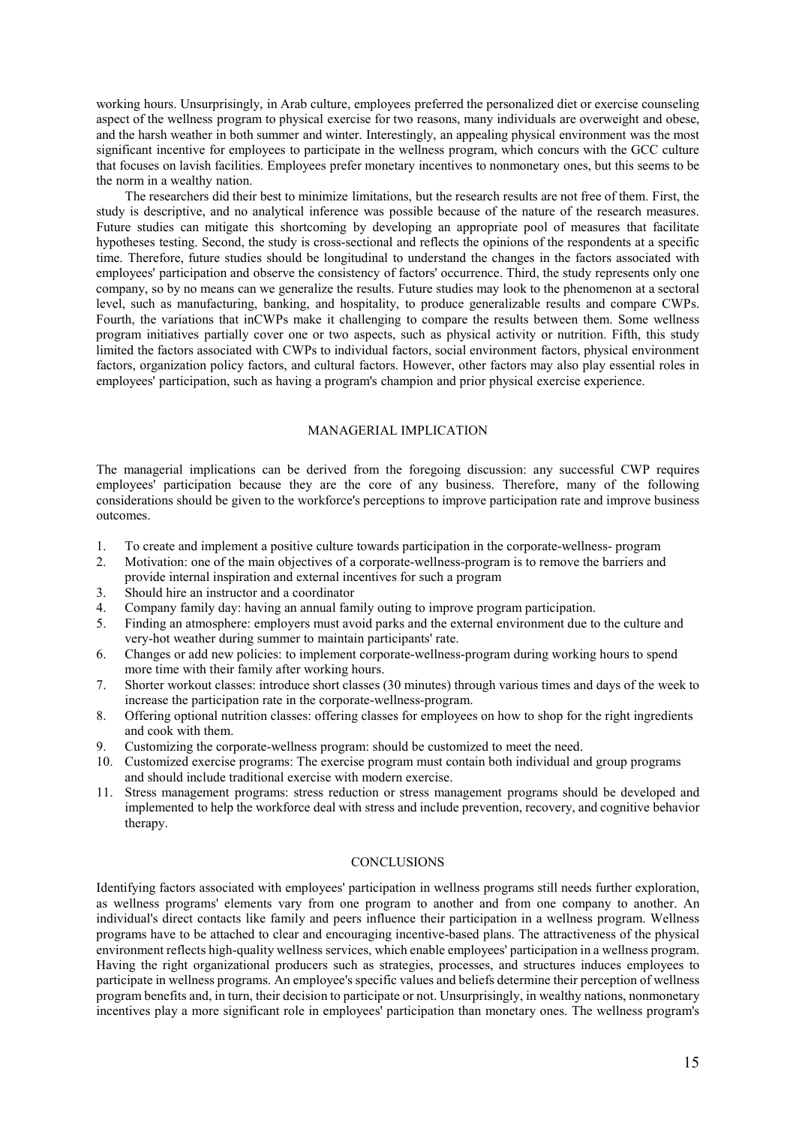working hours. Unsurprisingly, in Arab culture, employees preferred the personalized diet or exercise counseling aspect of the wellness program to physical exercise for two reasons, many individuals are overweight and obese, and the harsh weather in both summer and winter. Interestingly, an appealing physical environment was the most significant incentive for employees to participate in the wellness program, which concurs with the GCC culture that focuses on lavish facilities. Employees prefer monetary incentives to nonmonetary ones, but this seems to be the norm in a wealthy nation.

vanisions uses new vis smalle a completige to wompare the resion sectivect decision and interest and the constrained twitter factors shocked with CMS to individual factors, social environment factors may also play essentia The researchers did their best to minimize limitations, but the research results are not free of them. First, the study is descriptive, and no analytical inference was possible because of the nature of the research measures. Future studies can mitigate this shortcoming by developing an appropriate pool of measures that facilitate hypotheses testing. Second, the study is cross-sectional and reflects the opinions of the respondents at a specific time. Therefore, future studies should be longitudinal to understand the changes in the factors associated with employees' participation and observe the consistency of factors' occurrence. Third, the study represents only one company, so by no means can we generalize the results. Future studies may look to the phenomenon at a sectoral level, such as manufacturing, banking, and hospitality, to produce generalizable results and compare CWPs. Fourth, the variations that inCWPs make it challenging to compare the results between them. Some wellness program initiatives partially cover one or two aspects, such as physical activity or nutrition. Fifth, this study limited the factors associated with CWPs to individual factors, social environment factors, physical environment factors, organization policy factors, and cultural factors. However, other factors may also play essential roles in employees' participation, such as having a program's champion and prior physical exercise experience.

## MANAGERIAL IMPLICATION

The managerial implications can be derived from the foregoing discussion: any successful CWP requires employees' participation because they are the core of any business. Therefore, many of the following considerations should be given to the workforce's perceptions to improve participation rate and improve business outcomes.

- 1. To create and implement a positive culture towards participation in the corporate-wellness- program
- 2. Motivation: one of the main objectives of a corporate-wellness-program is to remove the barriers and provide internal inspiration and external incentives for such a program
- 3. Should hire an instructor and a coordinator
- 4. Company family day: having an annual family outing to improve program participation.
- 5. Finding an atmosphere: employers must avoid parks and the external environment due to the culture and very-hot weather during summer to maintain participants' rate.
- 6. Changes or add new policies: to implement corporate-wellness-program during working hours to spend more time with their family after working hours.
- 7. Shorter workout classes: introduce short classes (30 minutes) through various times and days of the week to increase the participation rate in the corporate-wellness-program.
- 8. Offering optional nutrition classes: offering classes for employees on how to shop for the right ingredients and cook with them.
- 9. Customizing the corporate-wellness program: should be customized to meet the need.
- 10. Customized exercise programs: The exercise program must contain both individual and group programs and should include traditional exercise with modern exercise.
- 11. Stress management programs: stress reduction or stress management programs should be developed and implemented to help the workforce deal with stress and include prevention, recovery, and cognitive behavior therapy.

## **CONCLUSIONS**

Identifying factors associated with employees' participation in wellness programs still needs further exploration, as wellness programs' elements vary from one program to another and from one company to another. An individual's direct contacts like family and peers influence their participation in a wellness program. Wellness programs have to be attached to clear and encouraging incentive-based plans. The attractiveness of the physical environment reflects high-quality wellness services, which enable employees' participation in a wellness program. Having the right organizational producers such as strategies, processes, and structures induces employees to participate in wellness programs. An employee's specific values and beliefs determine their perception of wellness program benefits and, in turn, their decision to participate or not. Unsurprisingly, in wealthy nations, nonmonetary incentives play a more significant role in employees' participation than monetary ones. The wellness program's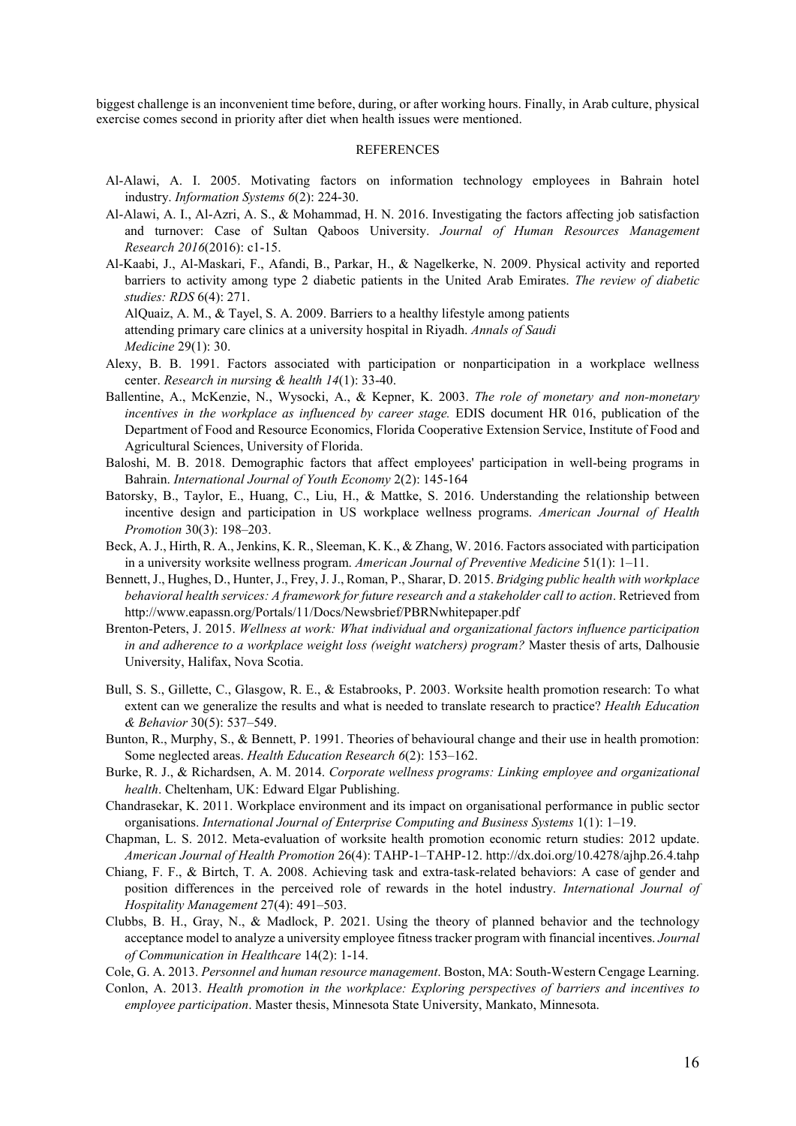biggest challenge is an inconvenient time before, during, or after working hours. Finally, in Arab culture, physical exercise comes second in priority after diet when health issues were mentioned.

## REFERENCES

- Al-Alawi, A. I. 2005. Motivating factors on information technology employees in Bahrain hotel industry. *Information Systems 6*(2): 224-30.
- Al-Alawi, A. I., Al-Azri, A. S., & Mohammad, H. N. 2016. Investigating the factors affecting job satisfaction and turnover: Case of Sultan Qaboos University. *Journal of Human Resources Management Research 2016*(2016): c1-15.
- Al-Kaabi, J., Al-Maskari, F., Afandi, B., Parkar, H., & Nagelkerke, N. 2009. Physical activity and reported barriers to activity among type 2 diabetic patients in the United Arab Emirates. *The review of diabetic studies: RDS* 6(4): 271.

AlQuaiz, A. M., & Tayel, S. A. 2009. Barriers to a healthy lifestyle among patients attending primary care clinics at a university hospital in Riyadh. *Annals of Saudi Medicine* 29(1): 30.

- Alexy, B. B. 1991. Factors associated with participation or nonparticipation in a workplace wellness center. *Research in nursing & health 14*(1): 33-40.
- ling primary care clinics at a university hospital in Riyadh. Annals of Saudi<br>
ine 29(1): 30, B. Testors associated with participation or nonparticipation in a workplace<br>
28(*BAL* 2013). Tactors associated with participati Ballentine, A., McKenzie, N., Wysocki, A., & Kepner, K. 2003. *The role of monetary and non-monetary incentives in the workplace as influenced by career stage.* EDIS document HR 016, publication of the Department of Food and Resource Economics, Florida Cooperative Extension Service, Institute of Food and Agricultural Sciences, University of Florida.
- Baloshi, M. B. 2018. Demographic factors that affect employees' participation in well-being programs in Bahrain. *International Journal of Youth Economy* 2(2): 145-164
- Batorsky, B., Taylor, E., Huang, C., Liu, H., & Mattke, S. 2016. Understanding the relationship between incentive design and participation in US workplace wellness programs. *American Journal of Health Promotion* 30(3): 198–203.
- Beck, A. J., Hirth, R. A., Jenkins, K. R., Sleeman, K. K., & Zhang, W. 2016. Factors associated with participation in a university worksite wellness program. *American Journal of Preventive Medicine* 51(1): 1–11.
- Bennett, J., Hughes, D., Hunter, J., Frey, J. J., Roman, P., Sharar, D. 2015. *Bridging public health with workplace behavioral health services: A framework for future research and a stakeholder call to action*. Retrieved from http://www.eapassn.org/Portals/11/Docs/Newsbrief/PBRNwhitepaper.pdf
- Brenton-Peters, J. 2015. *Wellness at work: What individual and organizational factors influence participation in and adherence to a workplace weight loss (weight watchers) program?* Master thesis of arts, Dalhousie University, Halifax, Nova Scotia.
- Bull, S. S., Gillette, C., Glasgow, R. E., & Estabrooks, P. 2003. Worksite health promotion research: To what extent can we generalize the results and what is needed to translate research to practice? *Health Education & Behavior* 30(5): 537–549.
- Bunton, R., Murphy, S., & Bennett, P. 1991. Theories of behavioural change and their use in health promotion: Some neglected areas. *Health Education Research 6*(2): 153–162.
- Burke, R. J., & Richardsen, A. M. 2014. *Corporate wellness programs: Linking employee and organizational health*. Cheltenham, UK: Edward Elgar Publishing.
- Chandrasekar, K. 2011. Workplace environment and its impact on organisational performance in public sector organisations. *International Journal of Enterprise Computing and Business Systems* 1(1): 1–19.
- Chapman, L. S. 2012. Meta-evaluation of worksite health promotion economic return studies: 2012 update. *American Journal of Health Promotion* 26(4): TAHP-1–TAHP-12[. http://dx.doi.org/10.4278/ajhp.26.4.tahp](http://dx.doi.org/10.4278/ajhp.26.4.tahp)
- Chiang, F. F., & Birtch, T. A. 2008. Achieving task and extra-task-related behaviors: A case of gender and position differences in the perceived role of rewards in the hotel industry. *International Journal of Hospitality Management* 27(4): 491–503.
- Clubbs, B. H., Gray, N., & Madlock, P. 2021. Using the theory of planned behavior and the technology acceptance model to analyze a university employee fitness tracker program with financial incentives. *Journal of Communication in Healthcare* 14(2): 1-14.

Cole, G. A. 2013. *Personnel and human resource management*. Boston, MA: South-Western Cengage Learning.

Conlon, A. 2013. *Health promotion in the workplace: Exploring perspectives of barriers and incentives to employee participation*. Master thesis, Minnesota State University, Mankato, Minnesota.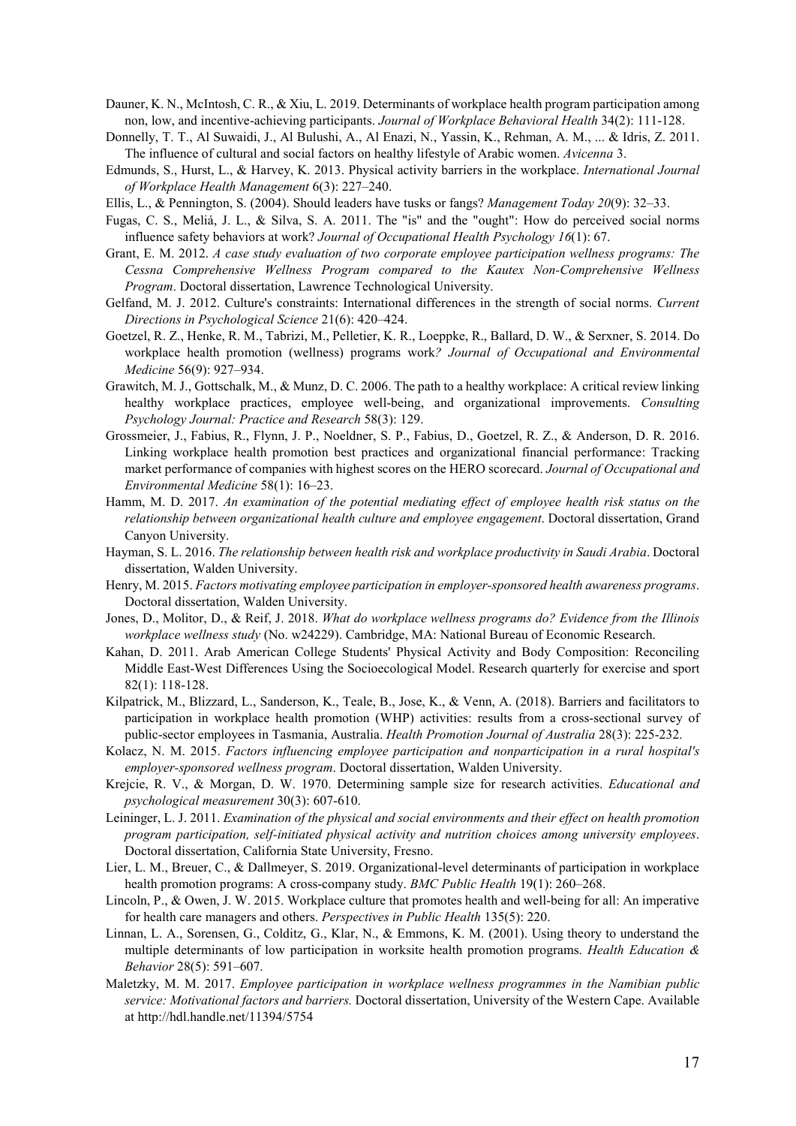- Dauner, K. N., McIntosh, C. R., & Xiu, L. 2019. Determinants of workplace health program participation among non, low, and incentive-achieving participants. *Journal of Workplace Behavioral Health* 34(2): 111-128.
- Donnelly, T. T., Al Suwaidi, J., Al Bulushi, A., Al Enazi, N., Yassin, K., Rehman, A. M., ... & Idris, Z. 2011. The influence of cultural and social factors on healthy lifestyle of Arabic women. *Avicenna* 3.
- Edmunds, S., Hurst, L., & Harvey, K. 2013. Physical activity barriers in the workplace. *International Journal of Workplace Health Management* 6(3): 227–240.
- Ellis, L., & Pennington, S. (2004). Should leaders have tusks or fangs? *Management Today 20*(9): 32–33.
- Fugas, C. S., Meliá, J. L., & Silva, S. A. 2011. The "is" and the "ought": How do perceived social norms influence safety behaviors at work? *Journal of Occupational Health Psychology 16*(1): 67.
- Grant, E. M. 2012. *A case study evaluation of two corporate employee participation wellness programs: The Cessna Comprehensive Wellness Program compared to the Kautex Non-Comprehensive Wellness Program*. Doctoral dissertation, Lawrence Technological University.
- Gelfand, M. J. 2012. Culture's constraints: International differences in the strength of social norms. *Current Directions in Psychological Science* 21(6): 420–424.
- Goetzel, R. Z., Henke, R. M., Tabrizi, M., Pelletier, K. R., Loeppke, R., Ballard, D. W., & Serxner, S. 2014. Do workplace health promotion (wellness) programs work*? Journal of Occupational and Environmental Medicine* 56(9): 927–934.
- Grawitch, M. J., Gottschalk, M., & Munz, D. C. 2006. The path to a healthy workplace: A critical review linking healthy workplace practices, employee well-being, and organizational improvements. *Consulting Psychology Journal: Practice and Research* 58(3): 129.
- **GALLEY PROOF** Grossmeier, J., Fabius, R., Flynn, J. P., Noeldner, S. P., Fabius, D., Goetzel, R. Z., & Anderson, D. R. 2016. Linking workplace health promotion best practices and organizational financial performance: Tracking market performance of companies with highest scores on the HERO scorecard. *Journal of Occupational and Environmental Medicine* 58(1): 16–23.
- Hamm, M. D. 2017. *An examination of the potential mediating effect of employee health risk status on the relationship between organizational health culture and employee engagement*. Doctoral dissertation, Grand Canyon University.
- Hayman, S. L. 2016. *The relationship between health risk and workplace productivity in Saudi Arabia*. Doctoral dissertation, Walden University.
- Henry, M. 2015. *Factors motivating employee participation in employer-sponsored health awareness programs*. Doctoral dissertation, Walden University.
- Jones, D., Molitor, D., & Reif, J. 2018. *What do workplace wellness programs do? Evidence from the Illinois workplace wellness study* (No. w24229). Cambridge, MA: National Bureau of Economic Research.
- Kahan, D. 2011. Arab American College Students' Physical Activity and Body Composition: Reconciling Middle East-West Differences Using the Socioecological Model. Research quarterly for exercise and sport 82(1): 118-128.
- Kilpatrick, M., Blizzard, L., Sanderson, K., Teale, B., Jose, K., & Venn, A. (2018). Barriers and facilitators to participation in workplace health promotion (WHP) activities: results from a cross-sectional survey of public-sector employees in Tasmania, Australia. *Health Promotion Journal of Australia* 28(3): 225-232.
- Kolacz, N. M. 2015. *Factors influencing employee participation and nonparticipation in a rural hospital's employer-sponsored wellness program*. Doctoral dissertation, Walden University.
- Krejcie, R. V., & Morgan, D. W. 1970. Determining sample size for research activities. *Educational and psychological measurement* 30(3): 607-610.
- Leininger, L. J. 2011. *Examination of the physical and social environments and their effect on health promotion program participation, self-initiated physical activity and nutrition choices among university employees*. Doctoral dissertation, California State University, Fresno.
- Lier, L. M., Breuer, C., & Dallmeyer, S. 2019. Organizational-level determinants of participation in workplace health promotion programs: A cross-company study. *BMC Public Health* 19(1): 260–268.
- Lincoln, P., & Owen, J. W. 2015. Workplace culture that promotes health and well-being for all: An imperative for health care managers and others. *Perspectives in Public Health* 135(5): 220.
- Linnan, L. A., Sorensen, G., Colditz, G., Klar, N., & Emmons, K. M. (2001). Using theory to understand the multiple determinants of low participation in worksite health promotion programs. *Health Education & Behavior* 28(5): 591–607.
- Maletzky, M. M. 2017. *Employee participation in workplace wellness programmes in the Namibian public service: Motivational factors and barriers.* Doctoral dissertation, University of the Western Cape. Available at<http://hdl.handle.net/11394/5754>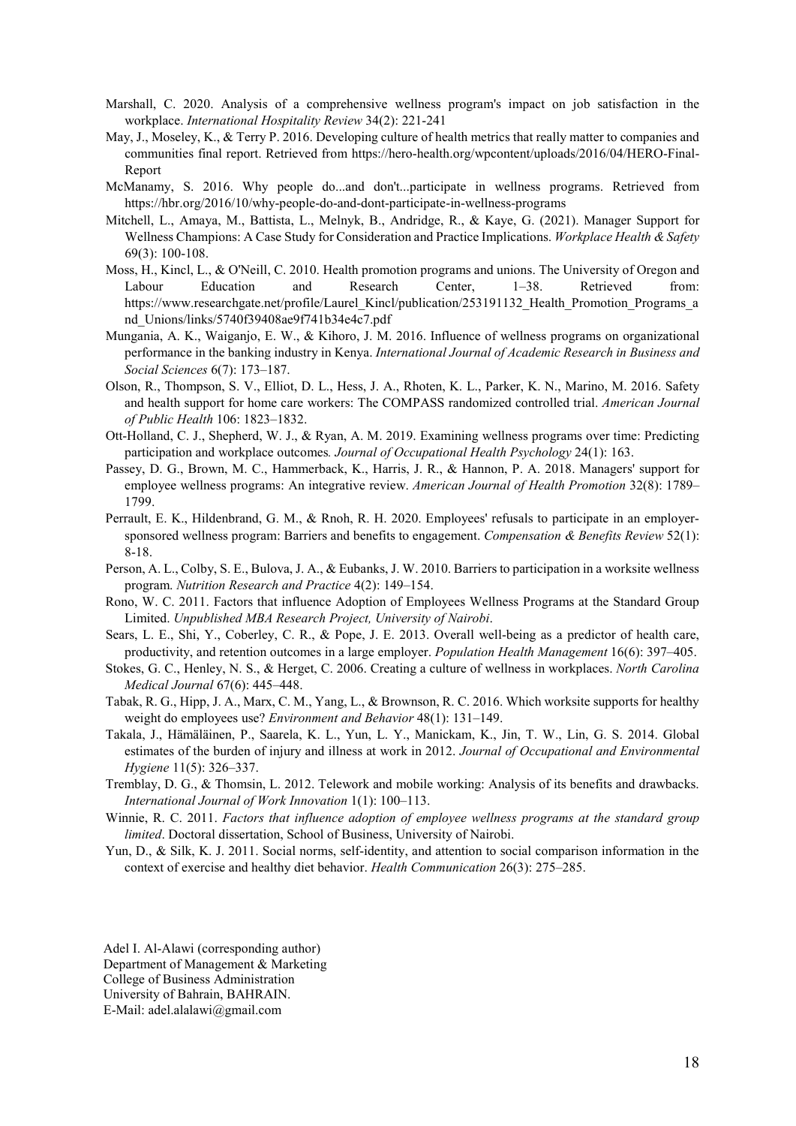- Marshall, C. 2020. Analysis of a comprehensive wellness program's impact on job satisfaction in the workplace. *International Hospitality Review* 34(2): 221-241
- May, J., Moseley, K., & Terry P. 2016. Developing culture of health metrics that really matter to companies and communities final report. Retrieved from [https://hero-health.org/wpcontent/uploads/2016/04/HERO-Final-](https://hero-health.org/wpcontent/uploads/2016/04/HERO-Final-Report)[Report](https://hero-health.org/wpcontent/uploads/2016/04/HERO-Final-Report)
- McManamy, S. 2016. Why people do...and don't...participate in wellness programs. Retrieved from <https://hbr.org/2016/10/why-people-do-and-dont-participate-in-wellness-programs>
- Mitchell, L., Amaya, M., Battista, L., Melnyk, B., Andridge, R., & Kaye, G. (2021). Manager Support for Wellness Champions: A Case Study for Consideration and Practice Implications. *Workplace Health & Safety* 69(3): 100-108.
- Moss, H., Kincl, L., & O'Neill, C. 2010. Health promotion programs and unions. The University of Oregon and Labour Education and Research Center, 1–38. Retrieved from: [https://www.researchgate.net/profile/Laurel\\_Kincl/publication/253191132\\_Health\\_Promotion\\_Programs\\_a](https://www.researchgate.net/profile/Laurel_Kincl/publication/253191132_Health_Promotion_Programs_and_Unions/links/5740f39408ae9f741b34e4c7.pdf) [nd\\_Unions/links/5740f39408ae9f741b34e4c7.pdf](https://www.researchgate.net/profile/Laurel_Kincl/publication/253191132_Health_Promotion_Programs_and_Unions/links/5740f39408ae9f741b34e4c7.pdf)
- unions mused in the bahány of North-Y-D-N-O-T-Quiltimate of wellness programs on organ<br>
meance in the bahánja industry in Kenya. *International Journal of Aceademic Research in Bust*<br> *G. K.K., Waiganjo, E. W., & Kihoro, J* Mungania, A. K., Waiganjo, E. W., & Kihoro, J. M. 2016. Influence of wellness programs on organizational performance in the banking industry in Kenya. *International Journal of Academic Research in Business and Social Sciences* 6(7): 173–187.
- Olson, R., Thompson, S. V., Elliot, D. L., Hess, J. A., Rhoten, K. L., Parker, K. N., Marino, M. 2016. Safety and health support for home care workers: The COMPASS randomized controlled trial. *American Journal of Public Health* 106: 1823–1832.
- Ott-Holland, C. J., Shepherd, W. J., & Ryan, A. M. 2019. Examining wellness programs over time: Predicting participation and workplace outcomes*. Journal of Occupational Health Psychology* 24(1): 163.
- Passey, D. G., Brown, M. C., Hammerback, K., Harris, J. R., & Hannon, P. A. 2018. Managers' support for employee wellness programs: An integrative review. *American Journal of Health Promotion* 32(8): 1789– 1799.
- Perrault, E. K., Hildenbrand, G. M., & Rnoh, R. H. 2020. Employees' refusals to participate in an employersponsored wellness program: Barriers and benefits to engagement. *Compensation & Benefits Review* 52(1): 8-18.
- Person, A. L., Colby, S. E., Bulova, J. A., & Eubanks, J. W. 2010. Barriers to participation in a worksite wellness program. *Nutrition Research and Practice* 4(2): 149–154.
- Rono, W. C. 2011. Factors that influence Adoption of Employees Wellness Programs at the Standard Group Limited. *Unpublished MBA Research Project, University of Nairobi*.
- Sears, L. E., Shi, Y., Coberley, C. R., & Pope, J. E. 2013. Overall well-being as a predictor of health care, productivity, and retention outcomes in a large employer. *Population Health Management* 16(6): 397–405.
- Stokes, G. C., Henley, N. S., & Herget, C. 2006. Creating a culture of wellness in workplaces. *North Carolina Medical Journal* 67(6): 445–448.
- Tabak, R. G., Hipp, J. A., Marx, C. M., Yang, L., & Brownson, R. C. 2016. Which worksite supports for healthy weight do employees use? *Environment and Behavior* 48(1): 131–149.
- Takala, J., Hämäläinen, P., Saarela, K. L., Yun, L. Y., Manickam, K., Jin, T. W., Lin, G. S. 2014. Global estimates of the burden of injury and illness at work in 2012. *Journal of Occupational and Environmental Hygiene* 11(5): 326–337.
- Tremblay, D. G., & Thomsin, L. 2012. Telework and mobile working: Analysis of its benefits and drawbacks. *International Journal of Work Innovation* 1(1): 100–113.
- Winnie, R. C. 2011. *Factors that influence adoption of employee wellness programs at the standard group limited*. Doctoral dissertation, School of Business, University of Nairobi.
- Yun, D., & Silk, K. J. 2011. Social norms, self-identity, and attention to social comparison information in the context of exercise and healthy diet behavior. *Health Communication* 26(3): 275–285.

Adel I. Al-Alawi (corresponding author) Department of Management & Marketing College of Business Administration University of Bahrain, BAHRAIN. E-Mail: adel.alalawi@gmail.com